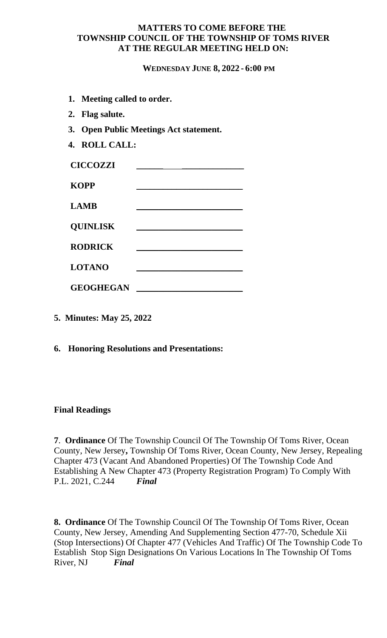### **MATTERS TO COME BEFORE THE TOWNSHIP COUNCIL OF THE TOWNSHIP OF TOMS RIVER AT THE REGULAR MEETING HELD ON:**

**WEDNESDAY JUNE 8, 2022 - 6:00 PM**

- **1. Meeting called to order.**
- **2. Flag salute.**
- **3. Open Public Meetings Act statement.**
- **4. ROLL CALL:**

| <b>CICCOZZI</b>  |  |
|------------------|--|
| <b>KOPP</b>      |  |
| <b>LAMB</b>      |  |
| <b>QUINLISK</b>  |  |
| <b>RODRICK</b>   |  |
| <b>LOTANO</b>    |  |
| <b>GEOGHEGAN</b> |  |

- **5. Minutes: May 25, 2022**
- **6. Honoring Resolutions and Presentations:**

## **Final Readings**

**7**. **Ordinance** Of The Township Council Of The Township Of Toms River, Ocean County, New Jersey**,** Township Of Toms River, Ocean County, New Jersey, Repealing Chapter 473 (Vacant And Abandoned Properties) Of The Township Code And Establishing A New Chapter 473 (Property Registration Program) To Comply With P.L. 2021, C.244 *Final*

**8. Ordinance** Of The Township Council Of The Township Of Toms River, Ocean County, New Jersey, Amending And Supplementing Section 477-70, Schedule Xii (Stop Intersections) Of Chapter 477 (Vehicles And Traffic) Of The Township Code To Establish Stop Sign Designations On Various Locations In The Township Of Toms River, NJ *Final*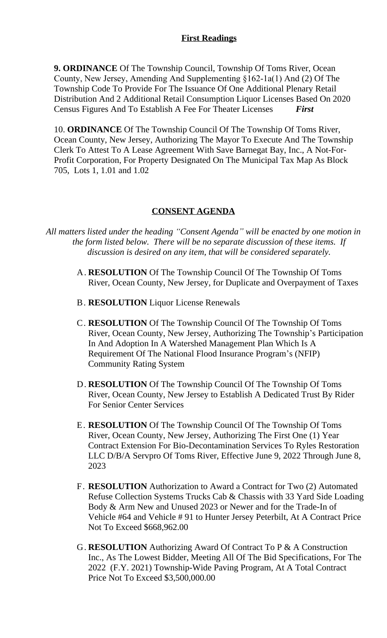**9. ORDINANCE** Of The Township Council, Township Of Toms River, Ocean County, New Jersey, Amending And Supplementing §162-1a(1) And (2) Of The Township Code To Provide For The Issuance Of One Additional Plenary Retail Distribution And 2 Additional Retail Consumption Liquor Licenses Based On 2020 Census Figures And To Establish A Fee For Theater Licenses *First*

10. **ORDINANCE** Of The Township Council Of The Township Of Toms River, Ocean County, New Jersey, Authorizing The Mayor To Execute And The Township Clerk To Attest To A Lease Agreement With Save Barnegat Bay, Inc., A Not-For-Profit Corporation, For Property Designated On The Municipal Tax Map As Block 705, Lots 1, 1.01 and 1.02

## **CONSENT AGENDA**

*All matters listed under the heading "Consent Agenda" will be enacted by one motion in the form listed below. There will be no separate discussion of these items. If discussion is desired on any item, that will be considered separately.*

- A. **RESOLUTION** Of The Township Council Of The Township Of Toms River, Ocean County, New Jersey, for Duplicate and Overpayment of Taxes
- B. **RESOLUTION** Liquor License Renewals
- C. **RESOLUTION** Of The Township Council Of The Township Of Toms River, Ocean County, New Jersey, Authorizing The Township's Participation In And Adoption In A Watershed Management Plan Which Is A Requirement Of The National Flood Insurance Program's (NFIP) Community Rating System
- D. **RESOLUTION** Of The Township Council Of The Township Of Toms River, Ocean County, New Jersey to Establish A Dedicated Trust By Rider For Senior Center Services
- E. **RESOLUTION** Of The Township Council Of The Township Of Toms River, Ocean County, New Jersey, Authorizing The First One (1) Year Contract Extension For Bio-Decontamination Services To Ryles Restoration LLC D/B/A Servpro Of Toms River, Effective June 9, 2022 Through June 8, 2023
- F. **RESOLUTION** Authorization to Award a Contract for Two (2) Automated Refuse Collection Systems Trucks Cab & Chassis with 33 Yard Side Loading Body & Arm New and Unused 2023 or Newer and for the Trade-In of Vehicle #64 and Vehicle # 91 to Hunter Jersey Peterbilt, At A Contract Price Not To Exceed \$668,962.00
- G. **RESOLUTION** Authorizing Award Of Contract To P & A Construction Inc., As The Lowest Bidder, Meeting All Of The Bid Specifications, For The 2022 (F.Y. 2021) Township-Wide Paving Program, At A Total Contract Price Not To Exceed \$3,500,000.00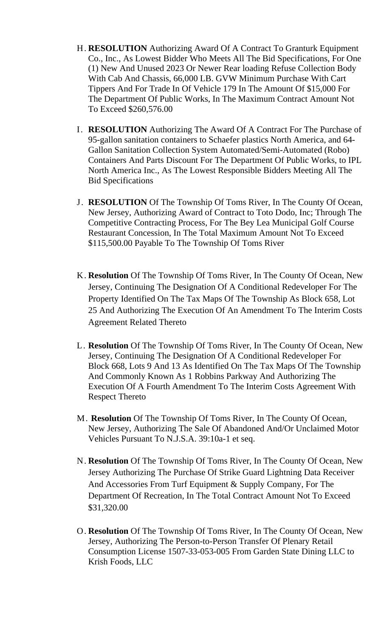- H. **RESOLUTION** Authorizing Award Of A Contract To Granturk Equipment Co., Inc., As Lowest Bidder Who Meets All The Bid Specifications, For One (1) New And Unused 2023 Or Newer Rear loading Refuse Collection Body With Cab And Chassis, 66,000 LB. GVW Minimum Purchase With Cart Tippers And For Trade In Of Vehicle 179 In The Amount Of \$15,000 For The Department Of Public Works, In The Maximum Contract Amount Not To Exceed \$260,576.00
- I. **RESOLUTION** Authorizing The Award Of A Contract For The Purchase of 95-gallon sanitation containers to Schaefer plastics North America, and 64- Gallon Sanitation Collection System Automated/Semi-Automated (Robo) Containers And Parts Discount For The Department Of Public Works, to IPL North America Inc., As The Lowest Responsible Bidders Meeting All The Bid Specifications
- J. **RESOLUTION** Of The Township Of Toms River, In The County Of Ocean, New Jersey, Authorizing Award of Contract to Toto Dodo, Inc; Through The Competitive Contracting Process, For The Bey Lea Municipal Golf Course Restaurant Concession, In The Total Maximum Amount Not To Exceed \$115,500.00 Payable To The Township Of Toms River
- K. **Resolution** Of The Township Of Toms River, In The County Of Ocean, New Jersey, Continuing The Designation Of A Conditional Redeveloper For The Property Identified On The Tax Maps Of The Township As Block 658, Lot 25 And Authorizing The Execution Of An Amendment To The Interim Costs Agreement Related Thereto
- L. **Resolution** Of The Township Of Toms River, In The County Of Ocean, New Jersey, Continuing The Designation Of A Conditional Redeveloper For Block 668, Lots 9 And 13 As Identified On The Tax Maps Of The Township And Commonly Known As 1 Robbins Parkway And Authorizing The Execution Of A Fourth Amendment To The Interim Costs Agreement With Respect Thereto
- M. **Resolution** Of The Township Of Toms River, In The County Of Ocean, New Jersey, Authorizing The Sale Of Abandoned And/Or Unclaimed Motor Vehicles Pursuant To N.J.S.A. 39:10a-1 et seq.
- N. **Resolution** Of The Township Of Toms River, In The County Of Ocean, New Jersey Authorizing The Purchase Of Strike Guard Lightning Data Receiver And Accessories From Turf Equipment & Supply Company, For The Department Of Recreation, In The Total Contract Amount Not To Exceed \$31,320.00
- O. **Resolution** Of The Township Of Toms River, In The County Of Ocean, New Jersey, Authorizing The Person-to-Person Transfer Of Plenary Retail Consumption License 1507-33-053-005 From Garden State Dining LLC to Krish Foods, LLC